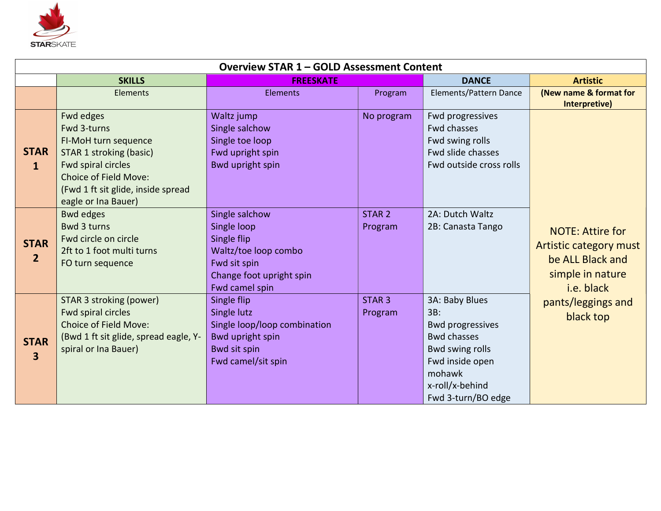

| <b>Overview STAR 1 - GOLD Assessment Content</b> |                                                                                                                                                                                         |                                                                                                                                    |                              |                                                                                                                                                                 |                                                                                                                                            |  |
|--------------------------------------------------|-----------------------------------------------------------------------------------------------------------------------------------------------------------------------------------------|------------------------------------------------------------------------------------------------------------------------------------|------------------------------|-----------------------------------------------------------------------------------------------------------------------------------------------------------------|--------------------------------------------------------------------------------------------------------------------------------------------|--|
|                                                  | <b>SKILLS</b>                                                                                                                                                                           | <b>FREESKATE</b>                                                                                                                   |                              | <b>DANCE</b>                                                                                                                                                    | <b>Artistic</b>                                                                                                                            |  |
|                                                  | Elements                                                                                                                                                                                | <b>Elements</b>                                                                                                                    | Program                      | Elements/Pattern Dance                                                                                                                                          | (New name & format for<br>Interpretive)                                                                                                    |  |
| <b>STAR</b><br>$\mathbf{1}$                      | Fwd edges<br>Fwd 3-turns<br>FI-MoH turn sequence<br>STAR 1 stroking (basic)<br>Fwd spiral circles<br>Choice of Field Move:<br>(Fwd 1 ft sit glide, inside spread<br>eagle or Ina Bauer) | Waltz jump<br>Single salchow<br>Single toe loop<br>Fwd upright spin<br>Bwd upright spin                                            | No program                   | Fwd progressives<br><b>Fwd chasses</b><br>Fwd swing rolls<br>Fwd slide chasses<br>Fwd outside cross rolls                                                       | <b>NOTE: Attire for</b><br>Artistic category must<br>be ALL Black and<br>simple in nature<br>i.e. black<br>pants/leggings and<br>black top |  |
| <b>STAR</b><br>$\overline{2}$                    | <b>Bwd edges</b><br><b>Bwd 3 turns</b><br>Fwd circle on circle<br>2ft to 1 foot multi turns<br>FO turn sequence                                                                         | Single salchow<br>Single loop<br>Single flip<br>Waltz/toe loop combo<br>Fwd sit spin<br>Change foot upright spin<br>Fwd camel spin | STAR <sub>2</sub><br>Program | 2A: Dutch Waltz<br>2B: Canasta Tango                                                                                                                            |                                                                                                                                            |  |
| <b>STAR</b><br>$\overline{\mathbf{3}}$           | STAR 3 stroking (power)<br>Fwd spiral circles<br>Choice of Field Move:<br>(Bwd 1 ft sit glide, spread eagle, Y-<br>spiral or Ina Bauer)                                                 | Single flip<br>Single lutz<br>Single loop/loop combination<br><b>Bwd upright spin</b><br>Bwd sit spin<br>Fwd camel/sit spin        | STAR <sub>3</sub><br>Program | 3A: Baby Blues<br>3B:<br><b>Bwd progressives</b><br><b>Bwd chasses</b><br>Bwd swing rolls<br>Fwd inside open<br>mohawk<br>x-roll/x-behind<br>Fwd 3-turn/BO edge |                                                                                                                                            |  |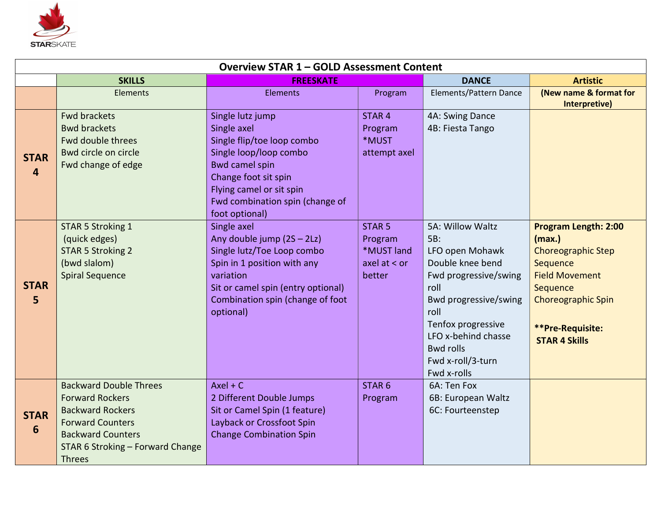

| <b>Overview STAR 1 - GOLD Assessment Content</b> |                                                                                                                                                                                                |                                                                                                                                                                                                                           |                                                                        |                                                                                                                                                                                                                                       |                                                                                                                                                                                              |  |
|--------------------------------------------------|------------------------------------------------------------------------------------------------------------------------------------------------------------------------------------------------|---------------------------------------------------------------------------------------------------------------------------------------------------------------------------------------------------------------------------|------------------------------------------------------------------------|---------------------------------------------------------------------------------------------------------------------------------------------------------------------------------------------------------------------------------------|----------------------------------------------------------------------------------------------------------------------------------------------------------------------------------------------|--|
|                                                  | <b>SKILLS</b>                                                                                                                                                                                  | <b>FREESKATE</b>                                                                                                                                                                                                          |                                                                        | <b>DANCE</b>                                                                                                                                                                                                                          | <b>Artistic</b>                                                                                                                                                                              |  |
|                                                  | <b>Elements</b>                                                                                                                                                                                | <b>Elements</b>                                                                                                                                                                                                           | Program                                                                | Elements/Pattern Dance                                                                                                                                                                                                                | (New name & format for<br>Interpretive)                                                                                                                                                      |  |
| <b>STAR</b><br>$\overline{4}$                    | <b>Fwd brackets</b><br><b>Bwd brackets</b><br>Fwd double threes<br>Bwd circle on circle<br>Fwd change of edge                                                                                  | Single lutz jump<br>Single axel<br>Single flip/toe loop combo<br>Single loop/loop combo<br><b>Bwd camel spin</b><br>Change foot sit spin<br>Flying camel or sit spin<br>Fwd combination spin (change of<br>foot optional) | STAR <sub>4</sub><br>Program<br>*MUST<br>attempt axel                  | 4A: Swing Dance<br>4B: Fiesta Tango                                                                                                                                                                                                   |                                                                                                                                                                                              |  |
| <b>STAR</b><br>5                                 | STAR 5 Stroking 1<br>(quick edges)<br><b>STAR 5 Stroking 2</b><br>(bwd slalom)<br><b>Spiral Sequence</b>                                                                                       | Single axel<br>Any double jump (2S - 2Lz)<br>Single lutz/Toe Loop combo<br>Spin in 1 position with any<br>variation<br>Sit or camel spin (entry optional)<br>Combination spin (change of foot<br>optional)                | STAR <sub>5</sub><br>Program<br>*MUST land<br>axel at $<$ or<br>better | 5A: Willow Waltz<br>5B:<br>LFO open Mohawk<br>Double knee bend<br>Fwd progressive/swing<br>roll<br>Bwd progressive/swing<br>roll<br>Tenfox progressive<br>LFO x-behind chasse<br><b>Bwd rolls</b><br>Fwd x-roll/3-turn<br>Fwd x-rolls | <b>Program Length: 2:00</b><br>(max.)<br><b>Choreographic Step</b><br>Sequence<br><b>Field Movement</b><br>Sequence<br><b>Choreographic Spin</b><br>**Pre-Requisite:<br><b>STAR 4 Skills</b> |  |
| <b>STAR</b><br>$6\phantom{1}$                    | <b>Backward Double Threes</b><br><b>Forward Rockers</b><br><b>Backward Rockers</b><br><b>Forward Counters</b><br><b>Backward Counters</b><br>STAR 6 Stroking - Forward Change<br><b>Threes</b> | $Axel + C$<br>2 Different Double Jumps<br>Sit or Camel Spin (1 feature)<br>Layback or Crossfoot Spin<br><b>Change Combination Spin</b>                                                                                    | STAR <sub>6</sub><br>Program                                           | 6A: Ten Fox<br>6B: European Waltz<br>6C: Fourteenstep                                                                                                                                                                                 |                                                                                                                                                                                              |  |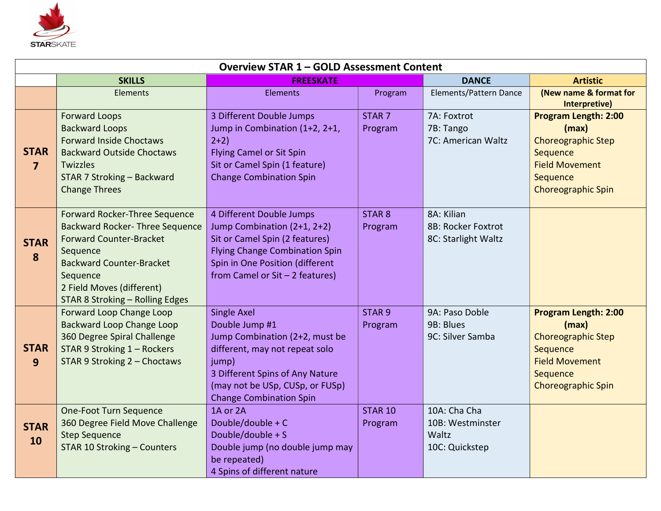

| <b>Overview STAR 1 - GOLD Assessment Content</b> |                                                                                                                                                                                                                                      |                                                                                                                                                                                                                    |                              |                                                             |                                                                                                                                                 |  |
|--------------------------------------------------|--------------------------------------------------------------------------------------------------------------------------------------------------------------------------------------------------------------------------------------|--------------------------------------------------------------------------------------------------------------------------------------------------------------------------------------------------------------------|------------------------------|-------------------------------------------------------------|-------------------------------------------------------------------------------------------------------------------------------------------------|--|
|                                                  | <b>SKILLS</b>                                                                                                                                                                                                                        | <b>FREESKATE</b>                                                                                                                                                                                                   |                              | <b>DANCE</b>                                                | <b>Artistic</b>                                                                                                                                 |  |
|                                                  | <b>Elements</b>                                                                                                                                                                                                                      | <b>Elements</b>                                                                                                                                                                                                    | Program                      | Elements/Pattern Dance                                      | (New name & format for<br>Interpretive)                                                                                                         |  |
| <b>STAR</b><br>$\overline{7}$                    | <b>Forward Loops</b><br><b>Backward Loops</b><br><b>Forward Inside Choctaws</b><br><b>Backward Outside Choctaws</b><br>Twizzles<br><b>STAR 7 Stroking - Backward</b><br><b>Change Threes</b>                                         | 3 Different Double Jumps<br>Jump in Combination (1+2, 2+1,<br>$2+2)$<br><b>Flying Camel or Sit Spin</b><br>Sit or Camel Spin (1 feature)<br><b>Change Combination Spin</b>                                         | STAR <sub>7</sub><br>Program | 7A: Foxtrot<br>7B: Tango<br>7C: American Waltz              | <b>Program Length: 2:00</b><br>(max)<br><b>Choreographic Step</b><br>Sequence<br><b>Field Movement</b><br>Sequence<br><b>Choreographic Spin</b> |  |
| <b>STAR</b><br>8                                 | Forward Rocker-Three Sequence<br><b>Backward Rocker- Three Sequence</b><br><b>Forward Counter-Bracket</b><br>Sequence<br><b>Backward Counter-Bracket</b><br>Sequence<br>2 Field Moves (different)<br>STAR 8 Stroking - Rolling Edges | 4 Different Double Jumps<br>Jump Combination (2+1, 2+2)<br>Sit or Camel Spin (2 features)<br><b>Flying Change Combination Spin</b><br>Spin in One Position (different<br>from Camel or $Si$ t - 2 features)        | STAR <sub>8</sub><br>Program | 8A: Kilian<br>8B: Rocker Foxtrot<br>8C: Starlight Waltz     |                                                                                                                                                 |  |
| <b>STAR</b><br>9                                 | Forward Loop Change Loop<br>Backward Loop Change Loop<br>360 Degree Spiral Challenge<br>STAR 9 Stroking 1 - Rockers<br>STAR 9 Stroking 2 - Choctaws                                                                                  | Single Axel<br>Double Jump #1<br>Jump Combination (2+2, must be<br>different, may not repeat solo<br>jump)<br>3 Different Spins of Any Nature<br>(may not be USp, CUSp, or FUSp)<br><b>Change Combination Spin</b> | STAR <sub>9</sub><br>Program | 9A: Paso Doble<br>9B: Blues<br>9C: Silver Samba             | <b>Program Length: 2:00</b><br>(max)<br><b>Choreographic Step</b><br>Sequence<br><b>Field Movement</b><br>Sequence<br><b>Choreographic Spin</b> |  |
| <b>STAR</b><br>10                                | <b>One-Foot Turn Sequence</b><br>360 Degree Field Move Challenge<br><b>Step Sequence</b><br><b>STAR 10 Stroking - Counters</b>                                                                                                       | 1A or 2A<br>Double/double + C<br>Double/double + S<br>Double jump (no double jump may<br>be repeated)<br>4 Spins of different nature                                                                               | <b>STAR 10</b><br>Program    | 10A: Cha Cha<br>10B: Westminster<br>Waltz<br>10C: Quickstep |                                                                                                                                                 |  |